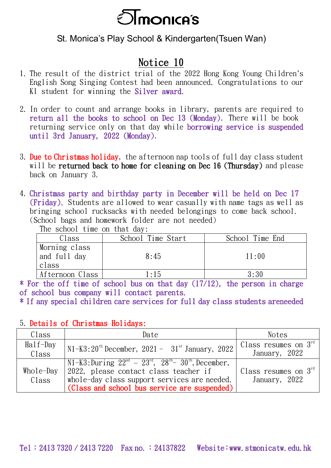

## St. Monica's Play School & Kindergarten(Tsuen Wan)

## Notice 10

- 1. The result of the district trial of the 2022 Hong Kong Young Children's English Song Singing Contest had been announced. Congratulations to our K1 student for winning the Silver award.
- 2. In order to count and arrange books in library, parents are required to return all the books to school on Dec 13 (Monday). There will be book returning service only on that day while borrowing service is suspended until 3rd January, 2022 (Monday).
- 3. Due to Christmas holiday, the afternoon nap tools of full day class student will be **returned back to home for cleaning on Dec 16 (Thursday)** and please back on January 3.
- 4. Christmas party and birthday party in December will be held on Dec 17 (Friday). Students are allowed to wear casually with name tags as well as bringing school rucksacks with needed belongings to come back school. (School bags and homework folder are not needed)

The school time on that day:

| Class                                  | School Time Start | School Time End |
|----------------------------------------|-------------------|-----------------|
| Morning class<br>and full day<br>class | 8:45              | 11:00           |
| Afternoon Class                        | 1:15              | 3:30            |

\* For the off time of school bus on that day (17/12), the person in charge of school bus company will contact parents.

\* If any special children care services for full day class students areneeded

## 5. Details of Christmas Holidays:

| Class       | Date                                                                  | <b>Notes</b>                     |
|-------------|-----------------------------------------------------------------------|----------------------------------|
| $Half$ -Day | $N1-K3:20^{th}$ December, 2021 - $31^{st}$ January, 2022              | Class resumes on $3^{\text{rd}}$ |
| Class       |                                                                       | January, 2022                    |
|             | $N1-K3:$ During $22^{nd} - 23^{rd}$ , $28^{th} - 30^{th}$ , December, |                                  |
| Whole-Day   | 2022, please contact class teacher if                                 | Class resumes on $3rd$           |
| Class       | whole-day class support services are needed.                          | January, 2022                    |
|             | (Class and school bus service are suspended)                          |                                  |

Tel: 2413 7320 / 2413 7220 Fax no.: 24137822 Website:www.stmonicatw.edu.hk